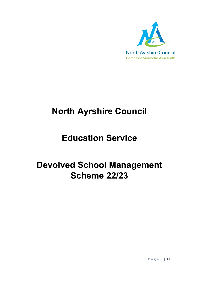

# **North Ayrshire Council**

# **Education Service**

# **Devolved School Management Scheme 22/23**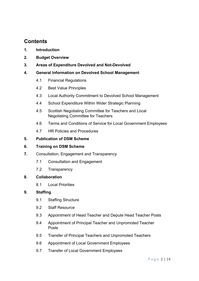# **Contents**

- **1. Introduction**
- **2. Budget Overview**
- **3. Areas of Expenditure Devolved and Not-Devolved**
- **4. General Information on Devolved School Management**
	- 4.1 Financial Regulations
	- 4.2 Best Value Principles
	- 4.3 Local Authority Commitment to Devolved School Management
	- 4.4 School Expenditure Within Wider Strategic Planning
	- 4.5 Scottish Negotiating Committee for Teachers and Local Negotiating Committee for Teachers
	- 4.6 Terms and Conditions of Service for Local Government Employees
	- 4.7 HR Policies and Procedures

#### **5. Publication of DSM Scheme**

#### **6. Training on DSM Scheme**

- **7.** Consultation, Engagement and Transparency
	- 7.1 Consultation and Engagement
	- 7.2 Transparency

#### **8. Collaboration**

8.1 Local Priorities

#### **9. Staffing**

- 9.1 Staffing Structure
- 9.2 Staff Resource
- 9.3 Appointment of Head Teacher and Depute Head Teacher Posts
- 9.4 Appointment of Principal Teacher and Unpromoted Teacher Posts
- 9.5 Transfer of Principal Teachers and Unpromoted Teachers
- 9.6 Appointment of Local Government Employees
- 9.7 Transfer of Local Government Employees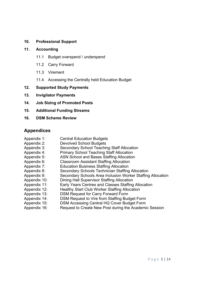#### **10. Professional Support**

#### **11. Accounting**

- 11.1 Budget overspend / underspend
- 11.2 Carry Forward
- 11.3 Virement
- 11.4 Accessing the Centrally held Education Budget
- **12. Supported Study Payments**
- **13. Invigilator Payments**
- **14. Job Sizing of Promoted Posts**
- **15. Additional Funding Streams**
- **16. DSM Scheme Review**

# **Appendices**

Appendix 1: Central Education Budgets Appendix 2: Devolved School Budgets Appendix 3: Secondary School Teaching Staff Allocation Appendix 4: Primary School Teaching Staff Allocation Appendix 5: ASN School and Bases Staffing Allocation Appendix 6: Classroom Assistant Staffing Allocation Appendix 7: Education Business Staffing Allocation Appendix 8: Secondary Schools Technician Staffing Allocation Appendix 9: Secondary Schools Area Inclusion Worker Staffing Allocation Appendix 10: Dining Hall Supervisor Staffing Allocation Appendix 11: Early Years Centres and Classes Staffing Allocation Appendix 12: Healthy Start Club Worker Staffing Allocation Appendix 13: DSM Request for Carry Forward Form Appendix 14: DSM Request to Vire from Staffing Budget Form Appendix 15: DSM Accessing Central HQ Cover Budget Form Appendix 16: Request to Create New Post during the Academic Session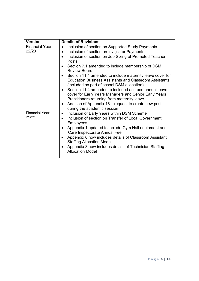| <b>Version</b>                 | <b>Details of Revisions</b>                                                                                                                                                                                                                                                                                                                                                                                                                                                                                                                                                                                                                                                                             |
|--------------------------------|---------------------------------------------------------------------------------------------------------------------------------------------------------------------------------------------------------------------------------------------------------------------------------------------------------------------------------------------------------------------------------------------------------------------------------------------------------------------------------------------------------------------------------------------------------------------------------------------------------------------------------------------------------------------------------------------------------|
| <b>Financial Year</b><br>22/23 | Inclusion of section on Supported Study Payments<br>Inclusion of section on Invigilator Payments<br>$\bullet$<br>Inclusion of section on Job Sizing of Promoted Teacher<br>Posts<br>Section 7.1 amended to include membership of DSM<br>Review Board<br>Section 11.4 amended to include maternity leave cover for<br><b>Education Business Assistants and Classroom Assistants</b><br>(included as part of school DSM allocation)<br>Section 11.4 amended to included accrued annual leave<br>cover for Early Years Managers and Senior Early Years<br>Practitioners returning from maternity leave<br>Addition of Appendix 16 – request to create new post<br>$\bullet$<br>during the academic session |
| <b>Financial Year</b><br>21/22 | Inclusion of Early Years within DSM Scheme<br>$\bullet$<br>Inclusion of section on Transfer of Local Government<br>$\bullet$<br><b>Employees</b><br>Appendix 1 updated to include Gym Hall equipment and<br>Care Inspectorate Annual Fee<br>Appendix 6 now includes details of Classroom Assistant<br><b>Staffing Allocation Model</b><br>Appendix 8 now includes details of Technician Staffing<br><b>Allocation Model</b>                                                                                                                                                                                                                                                                             |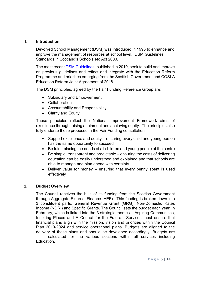#### **1. Introduction**

Devolved School Management (DSM) was introduced in 1993 to enhance and improve the management of resources at school level. DSM Guidelines Standards in Scotland's Schools etc Act 2000.

The most recent [DSM Guidelines,](https://www.gov.scot/binaries/content/documents/govscot/publications/advice-and-guidance/2019/06/devolved-school-management-guidelines/documents/devolved-school-management-guidelines/devolved-school-management-guidelines/govscot%3Adocument/devolved-school-management-guidelines.pdf) published in 2019, seek to build and improve on previous guidelines and reflect and integrate with the Education Reform Programme and priorities emerging from the [Scottish Government and COSLA](https://www.gov.scot/binaries/content/documents/govscot/publications/agreement/2018/06/education-bill-policy-ambition-joint-agreement/documents/00537386-pdf/00537386-pdf/govscot%3Adocument)  [Education Reform Joint Agreement of 2018.](https://www.gov.scot/binaries/content/documents/govscot/publications/agreement/2018/06/education-bill-policy-ambition-joint-agreement/documents/00537386-pdf/00537386-pdf/govscot%3Adocument)

The DSM principles, agreed by the Fair Funding Reference Group are:

- Subsidiary and Empowerment
- Collaboration
- Accountability and Responsibility
- Clarity and Equity

These principles reflect the National Improvement Framework aims of excellence through raising attainment and achieving equity. The principles also fully endorse those proposed in the Fair Funding consultation:

- Support excellence and equity ensuring every child and young person has the same opportunity to succeed
- Be fair placing the needs of all children and young people at the centre
- Be simple, transparent and predictable ensuring the costs of delivering education can be easily understood and explained and that schools are able to manage and plan ahead with certainty
- Deliver value for money ensuring that every penny spent is used effectively

#### **2. Budget Overview**

The Council receives the bulk of its funding from the Scottish Government through Aggregate External Finance (AEF). This funding is broken down into 3 constituent parts: General Revenue Grant (GRG), Non-Domestic Rates Income (NDRI) and Specific Grants**.** The Council sets the budget each year, in February, which is linked into the 3 strategic themes – Aspiring Communities, Inspiring Places and A Council for the Future. Services must ensure that financial plans align with the mission, vision and priorities within the Council Plan 2019-2024 and service operational plans. Budgets are aligned to the delivery of these plans and should be developed accordingly. Budgets are calculated for the various sections within all services including Education.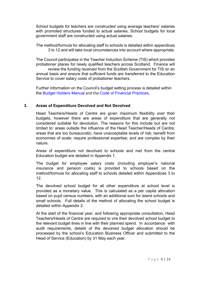School budgets for teachers are constructed using average teachers' salaries with promoted structures funded to actual salaries. School budgets for local government staff are constructed using actual salaries.

The method/formula for allocating staff to schools is detailed within appendices 3 to 12 and will take local circumstances into account where appropriate.

The Council participates in the Teacher Induction Scheme (TIS) which provides probationer places for newly qualified teachers across Scotland. Finance will review the funding received from the Scottish Government for TIS on an annual basis and ensure that sufficient funds are transferred to the Education Service to cover salary costs of probationer teachers.

Further information on the Council's budget setting process is detailed within the [Budget Holders Manual](http://naconnects.north-ayrshire.gov.uk/documents/guides-templates/finance-guides/budget-holders-manual.pdf) [and](file://NAYRHQVSD1/PUBLIC/ESPUBLIC/Resources/Carole%20Devoy%20-%20Official%20Protect/Devolved%20School%20Management/NAC%20DSM%20Scheme/and) the Code [of Financial Practices](http://naconnects.north-ayrshire.gov.uk/documents/policies-procedures/finance-policies-procedures-strategies/codes-of-financial-practice-2020.pdf)[.](http://naconnects.north-ayrshire.gov.uk/documents/policies-procedures/finance-policies-procedures-strategies/codes-of-financial-practice-2020.pdf)

#### **3. Areas of Expenditure Devolved and Not Devolved**

Head Teachers/Heads of Centre are given maximum flexibility over their budgets, however there are areas of expenditure that are generally not considered suitable for devolution. The reasons for this include but are not limited to: areas outside the influence of the Head Teacher/Heads of Centre; areas that are too bureaucratic; have unacceptable levels of risk; benefit from economies of scale; require professional expertise; and are complex by their nature.

Areas of expenditure not devolved to schools and met from the central Education budget are detailed in Appendix 1.

The budget for employee salary costs (including employer's national insurance and pension costs) is provided to schools based on the method/formula for allocating staff to schools detailed within Appendices 3 to 12.

The devolved school budget for all other expenditure at school level is provided as a monetary value. This is calculated as a per capita allocation based on pupil census numbers, with an additional sum for island schools and small schools. Full details of the method of allocating the school budget is detailed within Appendix 2.

At the start of the financial year, and following appropriate consultation, Head Teachers/Heads of Centre are required to vire their devolved school budget to the relevant budget lines in line with their planned spend. In accordance with audit requirements, details of the devolved budget allocation should be processed by the school's Education Business Officer and submitted to the Head of Service (Education) by 31 May each year.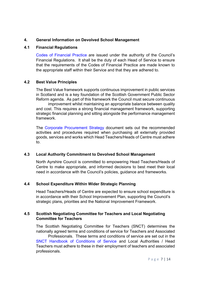#### **4. General Information on Devolved School Management**

#### **4.1 Financial Regulations**

[Codes of Financial Practice](http://naconnects.north-ayrshire.gov.uk/documents/policies-procedures/finance-policies-procedures-strategies/codes-of-financial-practice-2020.pdf) are issued under the authority of the Council's Financial Regulations. It shall be the duty of each Head of Service to ensure that the requirements of the Codes of Financial Practice are made known to the appropriate staff within their Service and that they are adhered to.

#### **4.2 Best Value Principles**

The Best Value framework supports continuous improvement in public services in Scotland and is a key foundation of the Scottish Government Public Sector Reform agenda. As part of this framework the Council must secure continuous

improvement whilst maintaining an appropriate balance between quality and cost. This requires a strong financial management framework, supporting strategic financial planning and sitting alongside the performance management framework.

The [Corporate Procurement Strategy](http://naconnects.north-ayrshire.gov.uk/documents/policies-procedures/finance-policies-procedures-strategies/corporate-procurement-strategy.pdf) document sets out the recommended activities and procedures required when purchasing all externally provided goods, services and works which Head Teachers/Heads of Centre must adhere to.

#### **4.3 Local Authority Commitment to Devolved School Management**

North Ayrshire Council is committed to empowering Head Teachers/Heads of Centre to make appropriate, and informed decisions to best meet their local need in accordance with the Council's policies, guidance and frameworks.

#### **4.4 School Expenditure Within Wider Strategic Planning**

Head Teachers/Heads of Centre are expected to ensure school expenditure is in accordance with their School Improvement Plan, supporting the Council's strategic plans, priorities and the National Improvement Framework.

### **4.5 Scottish Negotiating Committee for Teachers and Local Negotiating Committee for Teachers**

The Scottish Negotiating Committee for Teachers (SNCT) determines the nationally agreed terms and conditions of service for Teachers and Associated

Professionals. These terms and conditions of service are set out in the SNCT [Handbook of Conditions of Service](http://www.snct.org.uk/wiki/index.php?title=Table_of_Contents) and Local Authorities / Head Teachers must adhere to these in their employment of teachers and associated professionals.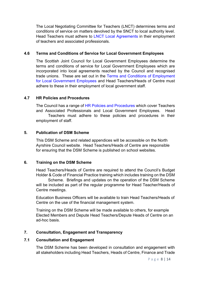The Local Negotiating Committee for Teachers (LNCT) determines terms and conditions of service on matters devolved by the SNCT to local authority level. Head Teachers must adhere to [LNCT Local Agreements](http://naconnects.north-ayrshire.gov.uk/services/education-youth-employment/local-negotiating-committee-for-teachers.aspx) in their employment of teachers and associated professionals.

#### **4.6 Terms and Conditions of Service for Local Government Employees**

The Scottish Joint Council for Local Government Employees determine the terms and conditions of service for Local Government Employees which are incorporated into local agreements reached by the Council and recognised trade unions. These are set out in the [Terms and Conditions of Employment](https://www.north-ayrshire.gov.uk/Documents/CorporateServices/HR/terms-conditions-employment.pdf)  [for Local Government Employees](https://www.north-ayrshire.gov.uk/Documents/CorporateServices/HR/terms-conditions-employment.pdf) and Head Teachers/Heads of Centre must adhere to these in their employment of local government staff.

#### **4.7 HR Policies and Procedures**

The Council has a range of [HR Policies and Procedures](http://naconnects.north-ayrshire.gov.uk/documents/policies-procedures/hr-policies-procedures/hr-policies-procedures.aspx) which cover Teachers and Associated Professionals and Local Government Employees. Head Teachers must adhere to these policies and procedures in their employment of staff.

#### **5. Publication of DSM Scheme**

This DSM Scheme and related appendices will be accessible on the North Ayrshire Council website. Head Teachers/Heads of Centre are responsible for ensuring that the DSM Scheme is published on school websites.

#### **6. Training on the DSM Scheme**

Head Teachers/Heads of Centre are required to attend the Council's Budget Holder & Code of Financial Practice training which includes training on the DSM

Scheme. Briefings and updates on the operation of the DSM Scheme will be included as part of the regular programme for Head Teacher/Heads of Centre meetings.

Education Business Officers will be available to train Head Teachers/Heads of Centre on the use of the financial management system.

Training on the DSM Scheme will be made available to others, for example Elected Members and Depute Head Teachers/Depute Heads of Centre on an ad-hoc basis.

#### **7. Consultation, Engagement and Transparency**

#### **7.1 Consultation and Engagement**

The DSM Scheme has been developed in consultation and engagement with all stakeholders including Head Teachers, Heads of Centre, Finance and Trade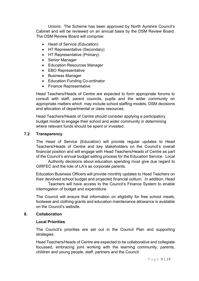Unions. The Scheme has been approved by North Ayrshire Council's Cabinet and will be reviewed on an annual basis by the DSM Review Board. The DSM Review Board will comprise:

- Head of Service (Education)
- HT Representative (Secondary)
- HT Representative (Primary)
- Senior Manager
- Education Resources Manager
- EBO Representative
- Business Manager
- Education Funding Co-ordinator
- Finance Representative

Head Teachers/Heads of Centre are expected to form appropriate forums to consult with staff, parent councils, pupils and the wider community on appropriate matters which may include school staffing models, DSM decisions and allocation of departmental or class resources.

Head Teachers/Heads of Centre should consider applying a participatory budget model to engage their school and wider community in determining where relevant funds should be spent or invested.

#### **7.2 Transparency**

The Head of Service (Education) will provide regular updates to Head Teachers/Heads of Centre and key stakeholders on the Council's overall financial position and will engage with Head Teachers/Heads of Centre as part of the Council's annual budget setting process for the Education Service. Local

Authority decisions about education spending must give due regard to GIRFEC and the role of LA's as corporate parents.

Education Business Officers will provide monthly updates to Head Teachers on their devolved school budget and projected financial outturn. In addition, Head

Teachers will have access to the Council's Finance System to enable interrogation of budget and expenditure.

The Council will ensure that information on eligibility for free school meals; footwear and clothing grants and education maintenance allowance is available on the Council's website.

#### **8. Collaboration**

#### **Local Priorities**

The Council's priorities are set out in the Council Plan and supporting strategies.

Head Teachers/Heads of Centre are expected to be collaborative and collegiate focussed, embracing joint working with the learning community, parents, children and young people, staff, partners and the Council.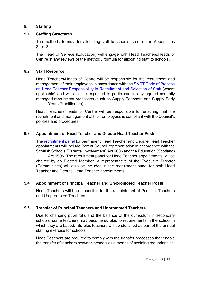#### **9. Staffing**

#### **9.1 Staffing Structures**

The method / formula for allocating staff to schools is set out in Appendices 3 to 12.

The Head of Service (Education) will engage with Head Teachers/Heads of Centre in any reviews of the method / formula for allocating staff to schools.

#### **9.2 Staff Resource**

Head Teachers/Heads of Centre will be responsible for the recruitment and management of their employees in accordance with the [SNCT Code of Practice](http://www.snct.org.uk/library/2682/JS-19-76%20Headteacher%20Recruitment%20and%20Selection%20of%20Staff.pdf)  [on Head Teacher Responsibility in Recruitment and Selection of Staff](http://www.snct.org.uk/library/2682/JS-19-76%20Headteacher%20Recruitment%20and%20Selection%20of%20Staff.pdf) (where applicable) and will also be expected to participate in any agreed centrally managed recruitment processes (such as Supply Teachers and Supply Early Years Practitioners).

Head Teachers/Heads of Centre will be responsible for ensuring that the recruitment and management of their employees is compliant with the Council's policies and procedures.

#### **9.3 Appointment of Head Teacher and Depute Head Teacher Posts**

The [recruitment panel](http://naconnects.north-ayrshire.gov.uk/documents/policies-procedures/hr-policies-procedures/recruitment-process-mngr.pdf) for permanent Head Teacher and Depute Head Teacher appointments will include Parent Council representation in accordance with the Scottish Schools (Parental Involvement) Act 2006 and the Education (Scotland)

Act 1996. The recruitment panel for Head Teacher appointments will be chaired by an Elected Member. A representative of the Executive Director (Communities) will also be included in the recruitment panel for both Head Teacher and Depute Head Teacher appointments.

#### **9.4 Appointment of Principal Teacher and Un-promoted Teacher Posts**

Head Teachers will be responsible for the appointment of Principal Teachers and Un-promoted Teachers.

#### **9.5 Transfer of Principal Teachers and Unpromoted Teachers**

Due to changing pupil rolls and the balance of the curriculum in secondary schools, some teachers may become surplus to requirements in the school in which they are based. Surplus teachers will be identified as part of the annual staffing exercise for schools.

Head Teachers are required to comply with the transfer processes that enable the transfer of teachers between schools as a means of avoiding redundancies.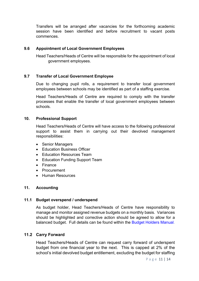Transfers will be arranged after vacancies for the forthcoming academic session have been identified and before recruitment to vacant posts commences.

#### **9.6 Appointment of Local Government Employees**

Head Teachers/Heads of Centre will be responsible for the appointment of local government employees.

#### **9.7 Transfer of Local Government Employee**

Due to changing pupil rolls, a requirement to transfer local government employees between schools may be identified as part of a staffing exercise.

Head Teachers/Heads of Centre are required to comply with the transfer processes that enable the transfer of local government employees between schools.

#### **10. Professional Support**

Head Teachers/Heads of Centre will have access to the following professional support to assist them in carrying out their devolved management responsibilities:

- Senior Managers
- Education Business Officer
- Education Resources Team
- Education Funding Support Team
- Finance
- Procurement
- Human Resources

#### **11. Accounting**

#### **11.1 Budget overspend / underspend**

As budget holder, Head Teachers/Heads of Centre have responsibility to manage and monitor assigned revenue budgets on a monthly basis. Variances should be highlighted and corrective action should be agreed to allow for a balanced budget. Full details can be found within the [Budget Holders Manual.](http://naconnects.north-ayrshire.gov.uk/documents/guides-templates/finance-guides/budget-holders-manual.pdf)

#### **11.2 Carry Forward**

Head Teachers/Heads of Centre can request carry forward of underspent budget from one financial year to the next. This is capped at 2% of the school's initial devolved budget entitlement, excluding the budget for staffing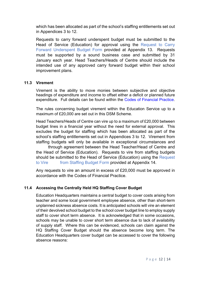which has been allocated as part of the school's staffing entitlements set out in Appendices 3 to 12.

Requests to carry forward underspent budget must be submitted to the Head of Service (Education) for approval using the Request to Carry Forward Underspent Budget Form provided at Appendix 13. Requests must be supported by a sound business case and submitted by 31 January each year. Head Teachers/Heads of Centre should include the intended use of any approved carry forward budget within their school improvement plans.

#### **11.3 Virement**

Virement is the ability to move monies between subjective and objective headings of expenditure and income to offset either a deficit or planned future expenditure. Full details can be found within the [Codes of Financial Practice.](http://naconnects.north-ayrshire.gov.uk/documents/policies-procedures/finance-policies-procedures-strategies/codes-of-financial-practice-2020.pdf)

The rules concerning budget virement within the Education Service up to a maximum of £20,000 are set out in this DSM Scheme.

Head Teachers/Heads of Centre can vire up to a maximum of £20,000 between budget lines in a financial year without the need for external approval. This excludes the budget for staffing which has been allocated as part of the school's staffing entitlements set out in Appendices 3 to 12. Virement from staffing budgets will only be available in exceptional circumstances and

through agreement between the Head Teacher/Head of Centre and the Head of Service (Education). Requests to vire from staffing budgets should be submitted to the Head of Service (Education) using the Request to Vire from Staffing Budget Form provided at Appendix 14.

Any requests to vire an amount in excess of £20,000 must be approved in accordance with the Codes of Financial Practice.

#### **11.4 Accessing the Centrally Held HQ Staffing Cover Budget**

Education Headquarters maintains a central budget to cover costs arising from teacher and some local government employee absence, other than short-term unplanned sickness absence costs. It is anticipated schools will vire an element of their devolved school budget to the school cover budget line to employ supply staff to cover short term absence. It is acknowledged that in some occasions, schools may be unable to cover short term absence due to lack of availability of supply staff. Where this can be evidenced, schools can claim against the HQ Staffing Cover Budget should the absence become long term. The Education Headquarters cover budget can be accessed to cover the following absence reasons: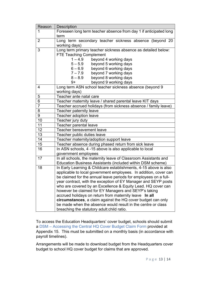| Reason         | <b>Description</b>                                                |  |  |  |  |
|----------------|-------------------------------------------------------------------|--|--|--|--|
| 1              | Foreseen long term teacher absence from day 1 if anticipated long |  |  |  |  |
|                | term                                                              |  |  |  |  |
| 2              | Long term secondary teacher sickness absence (beyond 20           |  |  |  |  |
|                | working days)                                                     |  |  |  |  |
| 3              | Long term primary teacher sickness absence as detailed below:     |  |  |  |  |
|                | <b>FTE Teaching Complement</b>                                    |  |  |  |  |
|                | $1 - 4.9$<br>beyond 4 working days                                |  |  |  |  |
|                | $5 - 5.9$<br>beyond 5 working days                                |  |  |  |  |
|                | beyond 6 working days<br>$6 - 6.9$                                |  |  |  |  |
|                | $7 - 7.9$<br>beyond 7 working days                                |  |  |  |  |
|                | $8 - 8.9$<br>beyond 8 working days                                |  |  |  |  |
|                | beyond 9 working days<br>9+                                       |  |  |  |  |
| $\overline{4}$ | Long term ASN school teacher sickness absence (beyond 9           |  |  |  |  |
|                | working days)                                                     |  |  |  |  |
| 5              | Teacher ante natal care                                           |  |  |  |  |
| 6              | Teacher maternity leave / shared parental leave KIT days          |  |  |  |  |
| $\overline{7}$ | Teacher accrued holidays (from sickness absence / family leave)   |  |  |  |  |
| 8              | Teacher paternity leave                                           |  |  |  |  |
| 9              | Teacher adoption leave                                            |  |  |  |  |
| 10             | Teacher jury duty                                                 |  |  |  |  |
| 11             | Teacher parental leave                                            |  |  |  |  |
| 12             | <b>Teacher bereavement leave</b>                                  |  |  |  |  |
| 13             | Teacher public duties leave                                       |  |  |  |  |
| 14             | Teacher maternity/adoption support leave                          |  |  |  |  |
| 15             | Teacher absence during phased return from sick leave              |  |  |  |  |
| 16             | In ASN schools, 4 -15 above is also applicable to local           |  |  |  |  |
|                | government employees                                              |  |  |  |  |
| 17             | In all schools, the maternity leave of Classroom Assistants and   |  |  |  |  |
|                | Education Business Assistants (included within DSM scheme)        |  |  |  |  |
| 18             | In Early Learning & Childcare establishments, 4-15 above is also  |  |  |  |  |
|                | applicable to local government employees. In addition, cover can  |  |  |  |  |
|                | be claimed for the annual leave periods for employees on a full-  |  |  |  |  |
|                | year contract, with the exception of EY Manager and SEYP posts    |  |  |  |  |
|                | who are covered by an Excellence & Equity Lead. HQ cover can      |  |  |  |  |
|                | however be claimed for EY Managers and SEYP's taking              |  |  |  |  |
|                | accrued holidays on return from maternity leave In all            |  |  |  |  |
|                | circumstances, a claim against the HQ cover budget can only       |  |  |  |  |
|                | be made when the absence would result in the centre or class      |  |  |  |  |
|                | breaching the statutory adult: child ratio.                       |  |  |  |  |

To access the Education Headquarters' cover budget, schools should submit a DSM – Accessing the Central HQ Cover Budget Claim Form provided at Appendix 15. This must be submitted on a monthly basis (in accordance with payroll timelines).

Arrangements will be made to download budget from the Headquarters cover budget to school HQ cover budget for claims that are approved.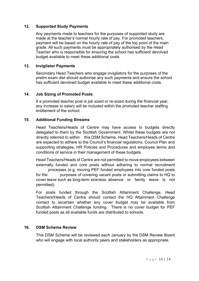#### **12. Supported Study Payments**

Any payments made to teachers for the purposes of supported study are made at the teacher's normal hourly rate of pay. For promoted teachers, payment will be based on the hourly rate of pay of the top point of the main grade. All such payments must be appropriately authorised by the Head Teacher who is responsible for ensuring the school has sufficient devolved budget available to meet these additional costs.

#### **13. Invigilator Payments**

Secondary Head Teachers who engage invigilators for the purposes of the prelim exam diet should authorise any such payments and ensure the school has sufficient devolved budget available to meet these additional costs.

#### **14. Job Sizing of Promoted Posts**

If a promoted teacher post is job sized or re-sized during the financial year, any increase to salary will be included within the promoted teacher staffing entitlement of the school.

#### **15. Additional Funding Streams**

Head Teachers/Heads of Centre may have access to budgets directly delegated to them by the Scottish Government. Whilst these budgets are not directly referred to within this DSM Scheme, Head Teachers/Heads of Centre are expected to adhere to the Council's financial regulations, Council Plan and supporting strategies, HR Policies and Procedures and employee terms and conditions of service in their management of these budgets.

Head Teachers/Heads of Centre are not permitted to move employees between externally funded and core posts without adhering to normal recruitment

processes (e.g. moving PEF funded employees into core funded posts for the purposes of covering vacant posts or submitting claims to HQ to cover leave such as long-term sickness absence or family leave is not permitted).

For posts funded through the Scottish Attainment Challenge, Head Teachers/Heads of Centre should contact the HQ Attainment Challenge contact to ascertain whether any cover budget may be available from Scottish Attainment Challenge funding. There is no cover budget for PEF funded posts as all available funds are distributed to schools.

#### **16. DSM Scheme Review**

This DSM Scheme will be reviewed each January by the DSM Review Board who will engage with local authority peers and stakeholders as appropriate.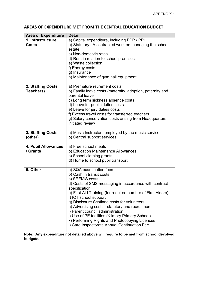# **AREAS OF EXPENDITURE MET FROM THE CENTRAL EDUCATION BUDGET**

| <b>Area of Expenditure</b>        | <b>Detail</b>                                                                                                                                                                                                                                                                                                                                                                                                                                                                                                                                                                                                                 |  |  |
|-----------------------------------|-------------------------------------------------------------------------------------------------------------------------------------------------------------------------------------------------------------------------------------------------------------------------------------------------------------------------------------------------------------------------------------------------------------------------------------------------------------------------------------------------------------------------------------------------------------------------------------------------------------------------------|--|--|
| 1. Infrastructure<br><b>Costs</b> | a) Capital expenditure, including PPP / PPI<br>b) Statutory LA contracted work on managing the school<br>estate<br>c) Non-domestic rates<br>d) Rent in relation to school premises<br>e) Waste collection<br>f) Energy costs<br>g) Insurance<br>h) Maintenance of gym hall equipment                                                                                                                                                                                                                                                                                                                                          |  |  |
| 2. Staffing Costs<br>Teachers)    | a) Premature retirement costs<br>b) Family leave costs (maternity, adoption, paternity and<br>parental leave<br>c) Long term sickness absence costs<br>d) Leave for public duties costs<br>e) Leave for jury duties costs<br>f) Excess travel costs for transferred teachers<br>g) Salary conservation costs arising from Headquarters<br>initiated review                                                                                                                                                                                                                                                                    |  |  |
| 3. Staffing Costs<br>(other)      | a) Music Instructors employed by the music service<br>b) Central support services                                                                                                                                                                                                                                                                                                                                                                                                                                                                                                                                             |  |  |
| 4. Pupil Allowances<br>/ Grants   | a) Free school meals<br>b) Education Maintenance Allowances<br>c) School clothing grants<br>d) Home to school pupil transport                                                                                                                                                                                                                                                                                                                                                                                                                                                                                                 |  |  |
| 5. Other                          | a) SQA examination fees<br>b) Cash in transit costs<br>c) SEEMIS costs<br>d) Costs of SMS messaging in accordance with contract<br>specification<br>e) First Aid Training (for required number of First Aiders)<br>f) ICT school support<br>g) Disclosure Scotland costs for volunteers<br>h) Advertising costs - statutory and recruitment<br>i) Parent council administration<br>j) Use of PE facilities (Kilmory Primary School)<br>k) Performing Rights and Photocopying Licences<br>I) Care Inspectorate Annual Continuation Fee<br>Note: Any expenditure not detailed above will require to be met from school devolved |  |  |

**Note: Any expenditure not detailed above will require to be met from school devolved budgets.**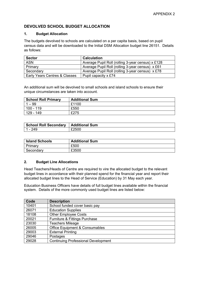### **DEVOLVED SCHOOL BUDGET ALLOCATION**

#### **1. Budget Allocation**

The budgets devolved to schools are calculated on a per capita basis, based on pupil census data and will be downloaded to the Initial DSM Allocation budget line 26151. Details as follows:

| <b>Sector</b>                 | <b>Calculation</b>                                |
|-------------------------------|---------------------------------------------------|
| <b>ASN</b>                    | Average Pupil Roll (rolling 3-year census) x £128 |
| Primary                       | Average Pupil Roll (rolling 3-year census) x £61  |
| Secondary                     | Average Pupil Roll (rolling 3-year census) x £78  |
| Early Years Centres & Classes | Pupil capacity x £74                              |

An additional sum will be devolved to small schools and island schools to ensure their unique circumstances are taken into account.

| <b>School Roll Primary</b> | <b>Additional Sum</b> |
|----------------------------|-----------------------|
| $1 - 99$                   | £1100                 |
| 100 - 119                  | £550                  |
| 129 - 149                  | £275                  |

| <b>School Roll Secondary</b> | Additional Sum |
|------------------------------|----------------|
| 1 - 249                      | £2500          |

| <b>Island Schools</b> | <b>Additional Sum</b> |
|-----------------------|-----------------------|
| Primary               | £500                  |
| Secondary             | £3500                 |

#### **2. Budget Line Allocations**

Head Teachers/Heads of Centre are required to vire the allocated budget to the relevant budget lines in accordance with their planned spend for the financial year and report their allocated budget lines to the Head of Service (Education) by 31 May each year.

Education Business Officers have details of full budget lines available within the financial system. Details of the more commonly used budget lines are listed below:

| Code  | <b>Description</b>                         |
|-------|--------------------------------------------|
| 10401 | School funded cover basic pay              |
| 26071 | <b>Education Supplies</b>                  |
| 18108 | <b>Other Employee Costs</b>                |
| 20021 | <b>Furniture &amp; Fittings Purchase</b>   |
| 23030 | <b>Teachers Mileage</b>                    |
| 26005 | <b>Office Equipment &amp; Consumables</b>  |
| 29003 | <b>External Printing</b>                   |
| 29046 | Postages                                   |
| 29028 | <b>Continuing Professional Development</b> |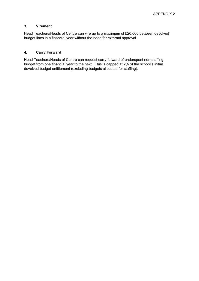#### **3. Virement**

Head Teachers/Heads of Centre can vire up to a maximum of £20,000 between devolved budget lines in a financial year without the need for external approval.

#### **4. Carry Forward**

Head Teachers/Heads of Centre can request carry forward of underspent non-staffing budget from one financial year to the next. This is capped at 2% of the school's initial devolved budget entitlement (excluding budgets allocated for staffing).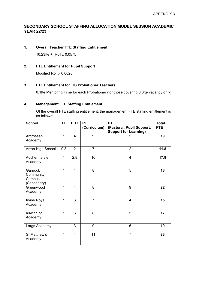### **SECONDARY SCHOOL STAFFING ALLOCATION MODEL SESSION ACADEMIC YEAR 22/23**

#### **1. Overall Teacher FTE Staffing Entitlement**

10.23fte + (Roll x 0.0575)

#### **2. FTE Entitlement for Pupil Support**

Modified Roll x 0.0028

#### **3. FTE Entitlement for TIS Probationer Teachers**

0.1fte Mentoring Time for each Probationer (for those covering 0.8fte vacancy only)

#### **4. Management FTE Staffing Entitlement**

Of the overall FTE staffing entitlement, the management FTE staffing entitlement is as follows:

| <b>School</b>                                 | <b>HT</b>    | <b>DHT</b>     | <b>PT</b>      | <b>PT</b>                    | <b>Total</b> |
|-----------------------------------------------|--------------|----------------|----------------|------------------------------|--------------|
|                                               |              |                | (Curriculum)   | (Pastoral, Pupil Support,    | <b>FTE</b>   |
|                                               |              |                |                | <b>Support for Learning)</b> |              |
| Ardrossan<br>Academy                          | 1            | $\overline{4}$ | 9              | 5                            | 19           |
| Arran High School                             | 0.8          | $\overline{2}$ | $\overline{7}$ | $\overline{2}$               | 11.8         |
| Auchenharvie<br>Academy                       | 1            | 2.8            | 10             | $\overline{4}$               | 17.8         |
| Garnock<br>Community<br>Campus<br>(Secondary) | 1            | $\overline{4}$ | 8              | 5                            | 18           |
| Greenwood<br>Academy                          | 1            | $\overline{4}$ | 8              | 9                            | 22           |
| Irvine Royal<br>Academy                       | 1            | 3              | $\overline{7}$ | $\overline{4}$               | 15           |
| Kilwinning<br>Academy                         | $\mathbf{1}$ | 3              | 8              | 5                            | 17           |
| Largs Academy                                 | 1            | 3              | 9              | 6                            | 19           |
| St Matthew's<br>Academy                       | 1            | $\overline{4}$ | 11             | $\overline{7}$               | 23           |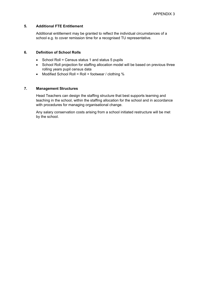#### **5. Additional FTE Entitlement**

Additional entitlement may be granted to reflect the individual circumstances of a school e.g. to cover remission time for a recognised TU representative.

#### **6. Definition of School Rolls**

- School Roll = Census status 1 and status 5 pupils
- School Roll projection for staffing allocation model will be based on previous three rolling years pupil census data
- Modified School Roll = Roll + footwear / clothing %

#### **7. Management Structures**

Head Teachers can design the staffing structure that best supports learning and teaching in the school, within the staffing allocation for the school and in accordance with procedures for managing organisational change.

Any salary conservation costs arising from a school initiated restructure will be met by the school.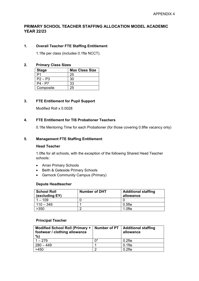#### **PRIMARY SCHOOL TEACHER STAFFING ALLOCATION MODEL ACADEMIC YEAR 22/23**

#### **1. Overall Teacher FTE Staffing Entitlement**

1.1fte per class (includes 0.1fte NCCT).

#### **2. Primary Class Sizes**

| <b>Stage</b> | <b>Max Class Size</b> |  |  |
|--------------|-----------------------|--|--|
|              | 25                    |  |  |
| $P2 - P3$    | 30                    |  |  |
| P4 - P7      | 33                    |  |  |
| Composite    | 25.                   |  |  |

#### **3. FTE Entitlement for Pupil Support**

Modified Roll x 0.0028

#### **4. FTE Entitlement for TIS Probationer Teachers**

0.1fte Mentoring Time for each Probationer (for those covering 0.8fte vacancy only)

#### **5. Management FTE Staffing Entitlement**

#### **Head Teacher**

1.0fte for all schools, with the exception of the following Shared Head Teacher schools:

- Arran Primary Schools
- Beith & Gateside Primary Schools
- Garnock Community Campus (Primary)

#### **Depute Headteacher**

| <b>School Roll</b><br>(excluding EY) | <b>Number of DHT</b> | <b>Additional staffing</b><br>allowance |
|--------------------------------------|----------------------|-----------------------------------------|
| $-109$                               |                      |                                         |
| $110 - 349$                          |                      | $0.5$ fte                               |
| >350                                 |                      | $1.0$ fte                               |

#### **Principal Teacher**

| Modified School Roll (Primary +<br>footwear / clothing allowance<br>%) | Number of PT | <b>Additional staffing</b><br>allowance |
|------------------------------------------------------------------------|--------------|-----------------------------------------|
| $1 - 279$                                                              | በ*           | $0.2$ fte                               |
| $280 - 449$                                                            |              | $0.1$ fte                               |
| >450                                                                   |              | $0.2$ fte                               |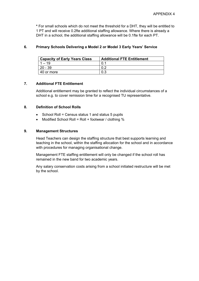**\*** For small schools which do not meet the threshold for a DHT, they will be entitled to 1 PT and will receive 0.2fte additional staffing allowance. Where there is already a DHT in a school, the additional staffing allowance will be 0.1fte for each PT.

#### **6. Primary Schools Delivering a Model 2 or Model 3 Early Years' Service**

| <b>Capacity of Early Years Class</b> | <b>Additional FTE Entitlement</b> |
|--------------------------------------|-----------------------------------|
| $1 - 19$                             |                                   |
| 20 - 39                              | 0.2                               |
| l 40 or more                         |                                   |

#### **7. Additional FTE Entitlement**

Additional entitlement may be granted to reflect the individual circumstances of a school e.g. to cover remission time for a recognised TU representative.

#### **8. Definition of School Rolls**

- School Roll = Census status 1 and status 5 pupils
- Modified School Roll = Roll + footwear / clothing %

#### **9. Management Structures**

Head Teachers can design the staffing structure that best supports learning and teaching in the school, within the staffing allocation for the school and in accordance with procedures for managing organisational change.

Management FTE staffing entitlement will only be changed if the school roll has remained in the new band for two academic years.

Any salary conservation costs arising from a school initiated restructure will be met by the school.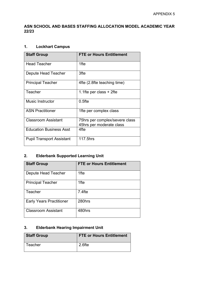# **ASN SCHOOL AND BASES STAFFING ALLOCATION MODEL ACADEMIC YEAR 22/23**

# **1. Lockhart Campus**

| <b>Staff Group</b>               | <b>FTE or Hours Entitlement</b>                            |
|----------------------------------|------------------------------------------------------------|
| <b>Head Teacher</b>              | 1fte                                                       |
| Depute Head Teacher              | 3fte                                                       |
| <b>Principal Teacher</b>         | 4fte (2.8fte teaching time)                                |
| Teacher                          | 1.1 fte per class $+2$ fte                                 |
| <b>Music Instructor</b>          | $0.5$ fte                                                  |
| <b>ASN Practitioner</b>          | 1fte per complex class                                     |
| <b>Classroom Assistant</b>       | 75hrs per complex/severe class<br>45hrs per moderate class |
| <b>Education Business Asst</b>   | 4fte                                                       |
| <b>Pupil Transport Assistant</b> | 117.5hrs                                                   |

# **2. Elderbank Supported Learning Unit**

| <b>Staff Group</b>              | <b>FTE or Hours Entitlement</b> |
|---------------------------------|---------------------------------|
| Depute Head Teacher             | 1fte                            |
| <b>Principal Teacher</b>        | 1fte                            |
| Teacher                         | $7.4$ fte                       |
| <b>Early Years Practitioner</b> | 280hrs                          |
| <b>Classroom Assistant</b>      | 480hrs                          |

# **3. Elderbank Hearing Impairment Unit**

| <b>Staff Group</b> | <b>FTE or Hours Entitlement</b> |
|--------------------|---------------------------------|
| Teacher            | 2.6fte                          |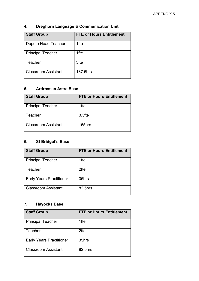| <b>Staff Group</b>         | <b>FTE or Hours Entitlement</b> |
|----------------------------|---------------------------------|
| Depute Head Teacher        | 1fte                            |
| <b>Principal Teacher</b>   | 1fte                            |
| Teacher                    | 3fte                            |
| <b>Classroom Assistant</b> | 137.5hrs                        |

# **4. Dreghorn Language & Communication Unit**

# **5. Ardrossan Astra Base**

| <b>Staff Group</b>         | <b>FTE or Hours Entitlement</b> |
|----------------------------|---------------------------------|
| <b>Principal Teacher</b>   | 1fte                            |
| Teacher                    | 3.3fte                          |
| <b>Classroom Assistant</b> | 165hrs                          |

# **6. St Bridget's Base**

| <b>Staff Group</b>              | <b>FTE or Hours Entitlement</b> |
|---------------------------------|---------------------------------|
| <b>Principal Teacher</b>        | 1fte                            |
| Teacher                         | 2fte                            |
| <b>Early Years Practitioner</b> | 35hrs                           |
| <b>Classroom Assistant</b>      | 82.5hrs                         |

# **7. Hayocks Base**

| <b>Staff Group</b>              | <b>FTE or Hours Entitlement</b> |
|---------------------------------|---------------------------------|
| <b>Principal Teacher</b>        | 1fte                            |
| Teacher                         | 2fte                            |
| <b>Early Years Practitioner</b> | 35hrs                           |
| Classroom Assistant             | 82.5hrs                         |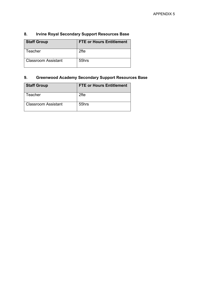| <b>Staff Group</b>         | <b>FTE or Hours Entitlement</b> |
|----------------------------|---------------------------------|
| Teacher                    | 2fte                            |
| <b>Classroom Assistant</b> | 55hrs                           |

# **8. Irvine Royal Secondary Support Resources Base**

# **9. Greenwood Academy Secondary Support Resources Base**

| <b>Staff Group</b>    | <b>FTE or Hours Entitlement</b> |
|-----------------------|---------------------------------|
| Teacher               | 2fte                            |
| l Classroom Assistant | 55hrs                           |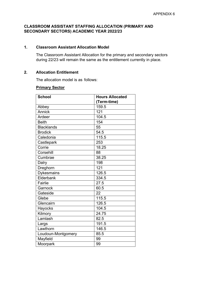#### **CLASSROOM ASSISTANT STAFFING ALLOCATION (PRIMARY AND SECONDARY SECTORS) ACADEMIC YEAR 2022/23**

#### **1. Classroom Assistant Allocation Model**

The Classroom Assistant Allocation for the primary and secondary sectors during 22/23 will remain the same as the entitlement currently in place.

#### **2. Allocation Entitlement**

The allocation model is as follows:

#### **Primary Sector**

| <b>School</b>      | <b>Hours Allocated</b> |
|--------------------|------------------------|
|                    | (Term-time)            |
| Abbey              | 159.5                  |
| <b>Annick</b>      | 121                    |
| Ardeer             | 104.5                  |
| <b>Beith</b>       | 154                    |
| <b>Blacklands</b>  | 55                     |
| <b>Brodick</b>     | 54.5                   |
| Caledonia          | 115.5                  |
| Castlepark         | 253                    |
| Corrie             | 18.25                  |
| Corsehill          | 88                     |
| Cumbrae            | 38.25                  |
| Dalry              | 198                    |
| Dreghorn           | 121                    |
| <b>Dykesmains</b>  | 126.5                  |
| Elderbank          | 334.5                  |
| Fairlie            | 27.5                   |
| Garnock            | 60.5                   |
| Gateside           | 22                     |
| Glebe              | 115.5                  |
| Glencairn          | 126.5                  |
| Hayocks            | 104.5                  |
| Kilmory            | 24.75                  |
| Lamlash            | 82.5                   |
| Largs              | 191.5                  |
| Lawthorn           | 146.5                  |
| Loudoun-Montgomery | 85.5                   |
| Mayfield           | 99                     |
| Moorpark           | 99                     |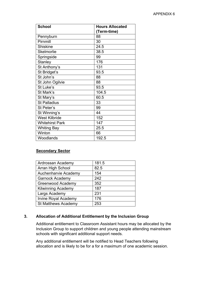| <b>School</b>          | <b>Hours Allocated</b> |
|------------------------|------------------------|
|                        | (Term-time)            |
| Pennyburn              | 88                     |
| Pirnmill               | 30                     |
| <b>Shiskine</b>        | 24.5                   |
| <b>Skelmorlie</b>      | 38.5                   |
| Springside             | 99                     |
| <b>Stanley</b>         | 176                    |
| St Anthony's           | 131                    |
| St Bridget's           | 93.5                   |
| St John's              | 88                     |
| St John Ogilvie        | 88                     |
| St Luke's              | 93.5                   |
| St Mark's              | 104.5                  |
| St Mary's              | 60.5                   |
| <b>St Palladius</b>    | 33                     |
| St Peter's             | 99                     |
| St Winning's           | 44                     |
| <b>West Kilbride</b>   | 152                    |
| <b>Whitehirst Park</b> | 147                    |
| <b>Whiting Bay</b>     | 25.5                   |
| Winton                 | 66                     |
| Woodlands              | 192.5                  |

### **Secondary Sector**

| Ardrossan Academy           | 181.5 |
|-----------------------------|-------|
| Arran High School           | 82.5  |
| Auchenharvie Academy        | 154   |
| <b>Garnock Academy</b>      | 242   |
| <b>Greenwood Academy</b>    | 352   |
| <b>Kilwinning Academy</b>   | 187   |
| Largs Academy               | 231   |
| <b>Irvine Royal Academy</b> | 176   |
| <b>St Matthews Academy</b>  | 253   |

#### **3. Allocation of Additional Entitlement by the Inclusion Group**

Additional entitlement to Classroom Assistant hours may be allocated by the Inclusion Group to support children and young people attending mainstream schools with significant additional support needs.

Any additional entitlement will be notified to Head Teachers following allocation and is likely to be for a for a maximum of one academic session.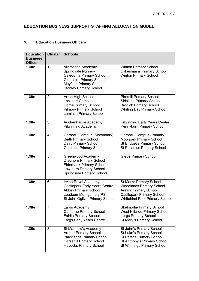# **EDUCATION BUSINESS SUPPORT STAFFING ALLOCATION MODEL**

# **1. Education Business Officers**

| <b>Education</b><br><b>Business</b><br><b>Officer</b> | <b>Cluster</b> | <b>Schools</b>                                                                                                                                                                   |                                                                                                                                                                                |
|-------------------------------------------------------|----------------|----------------------------------------------------------------------------------------------------------------------------------------------------------------------------------|--------------------------------------------------------------------------------------------------------------------------------------------------------------------------------|
| 1.0fte                                                | 1              | Ardrossan Academy<br><b>Springvale Nursery</b><br>Caledonia Primary School<br><b>Glencairn Primary School</b><br><b>Mayfield Primary School</b><br><b>Stanley Primary School</b> | <b>Winton Primary School</b><br><b>Dykesmains Primary School</b><br><b>Winton Primary School</b>                                                                               |
| 1.0fte                                                | $\overline{2}$ | Arran High School<br><b>Lockhart Campus</b><br><b>Corrie Primary School</b><br><b>Kilmory Primary School</b><br><b>Lamlash Primary School</b>                                    | <b>Pirnmill Primary School</b><br><b>Shiskine Primary School</b><br><b>Brodick Primary School</b><br><b>Whiting Bay Primary School</b>                                         |
| 1.0fte                                                | 3              | Auchenharvie Academy<br><b>Kilwinning Academy</b>                                                                                                                                | <b>Kilwinning Early Years Centre</b><br>Pennyburn Primary School                                                                                                               |
| 1.0fte                                                | 4              | Garnock Campus (Secondary)<br><b>Beith Primary School</b><br><b>Dalry Primary School</b><br><b>Gateside Primary School</b>                                                       | <b>Garnock Campus (Primary)</b><br><b>Moorpark Primary School</b><br><b>St Bridget's Primary School</b><br><b>St Palladius Primary School</b>                                  |
| 1.0fte                                                | 5              | Greenwood Academy<br><b>Dreghorn Primary School</b><br><b>Elderbank Primary School</b><br><b>Lawthorn Primary School</b><br><b>Springside Primary School</b>                     | <b>Glebe Primary School</b>                                                                                                                                                    |
| 1.0fte                                                | 6              | Irvine Royal Academy<br><b>Castlepark Early Years Centre</b><br><b>Abbey Primary School</b><br>Loudoun-Montgomery PS<br>St John Ogilvie Primary School                           | <b>St Marks Primary School</b><br><b>Woodlands Primary School</b><br><b>Annick Primary School</b><br><b>Castlepark Primary School</b><br><b>Whitehirst Park Primary School</b> |
| 1.0fte                                                | $\overline{7}$ | Largs Academy<br><b>Cumbrae Primary School</b><br><b>Fairlie Primary School</b><br><b>Largs Early Years Centre</b>                                                               | <b>Skelmorlie Primary School</b><br><b>West Kilbride Primary School</b><br><b>Largs Primary School</b><br>St Mary's Primary School                                             |
| 1.0fte                                                | 8              | St Matthew's Academy<br><b>Ardeer Primary School</b><br><b>Blacklands Primary School</b><br><b>Corsehill Primary School</b><br><b>Hayocks Primary School</b>                     | St John's Primary School<br>St Luke's Primary School<br>St Peter's Primary School<br>St Anthony's Primary School<br><b>St Winnings Primary School</b>                          |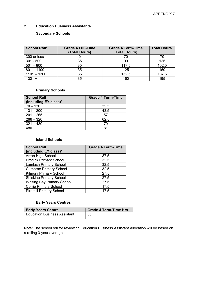#### **2. Education Business Assistants**

#### **Secondary Schools**

| <b>School Roll*</b> | <b>Grade 4 Full-Time</b><br>(Total Hours) | <b>Grade 4 Term-Time</b><br>(Total Hours) | <b>Total Hours</b> |
|---------------------|-------------------------------------------|-------------------------------------------|--------------------|
| 300 or less         |                                           |                                           | 70                 |
| $301 - 500$         | 35                                        | 90                                        | 125                |
| $501 - 800$         | 35                                        | 117.5                                     | 152.5              |
| $801 - 1100$        | 35                                        | 125                                       | 160                |
| $1101 - 1300$       | 35                                        | 152.5                                     | 187.5              |
| $1301 +$            | 35                                        | 160                                       | 195                |

#### **Primary Schools**

| <b>School Roll</b><br>(Including EY class)* | <b>Grade 4 Term-Time</b> |
|---------------------------------------------|--------------------------|
| $70 - 130$                                  | 32.5                     |
| $131 - 200$                                 | 43.5                     |
| $201 - 265$                                 | 57                       |
| $266 - 320$                                 | 62.5                     |
| $321 - 480$                                 | 70                       |
|                                             | 81                       |

#### **Island Schools**

| <b>School Roll</b>                | <b>Grade 4 Term-Time</b> |
|-----------------------------------|--------------------------|
| (including EY class)*             |                          |
| Arran High School                 | 87.5                     |
| <b>Brodick Primary School</b>     | 32.5                     |
| <b>Lamlash Primary School</b>     | 32.5                     |
| <b>Cumbrae Primary School</b>     | 32.5                     |
| <b>Kilmory Primary School</b>     | 27.5                     |
| <b>Shiskine Primary School</b>    | 27.5                     |
| <b>Whiting Bay Primary School</b> | 27.5                     |
| <b>Corrie Primary School</b>      | 17.5                     |
| <b>Pirnmill Primary School</b>    | 17.5                     |

### **Early Years Centres**

| <b>Early Years Centre</b>           | <b>Grade 4 Term-Time Hrs</b> |
|-------------------------------------|------------------------------|
| <b>Education Business Assistant</b> | 35                           |

Note: The school roll for reviewing Education Business Assistant Allocation will be based on a rolling 3-year average.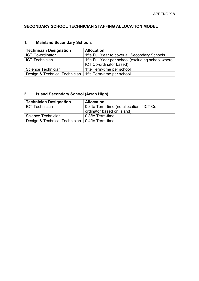# **SECONDARY SCHOOL TECHNICIAN STAFFING ALLOCATION MODEL**

# **1. Mainland Secondary Schools**

| <b>Technician Designation</b>                             | <b>Allocation</b>                                                            |
|-----------------------------------------------------------|------------------------------------------------------------------------------|
| <b>ICT Co-ordinator</b>                                   | 1fte Full Year to cover all Secondary Schools                                |
| l ICT Technician                                          | 1fte Full Year per school (excluding school where<br>ICT Co-ordinator based) |
| Science Technician                                        | 1fte Term-time per school                                                    |
| Design & Technical Technician   1fte Term-time per school |                                                                              |

# **2. Island Secondary School (Arran High)**

| <b>Technician Designation</b>                    | <b>Allocation</b>                          |
|--------------------------------------------------|--------------------------------------------|
| l ICT Technician                                 | 0.8fte Term-time (no allocation if ICT Co- |
|                                                  | ordinator based on island)                 |
| Science Technician                               | 0.8fte Term-time                           |
| Design & Technical Technician   0.4fte Term-time |                                            |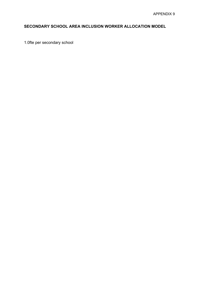# **SECONDARY SCHOOL AREA INCLUSION WORKER ALLOCATION MODEL**

1.0fte per secondary school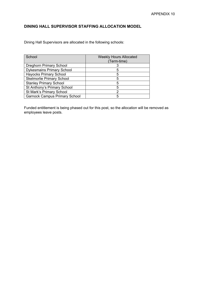# **DINING HALL SUPERVISOR STAFFING ALLOCATION MODEL**

Dining Hall Supervisors are allocated in the following schools:

| School                               | <b>Weekly Hours Allocated</b> |
|--------------------------------------|-------------------------------|
|                                      | (Term-time)                   |
| <b>Dreghorn Primary School</b>       |                               |
| <b>Dykesmains Primary School</b>     |                               |
| <b>Hayocks Primary School</b>        | 5                             |
| <b>Skelmorlie Primary School</b>     |                               |
| <b>Stanley Primary School</b>        | 5                             |
| St Anthony's Primary School          | 5                             |
| St Mark's Primary School             |                               |
| <b>Garnock Campus Primary School</b> |                               |

Funded entitlement is being phased out for this post, so the allocation will be removed as employees leave posts.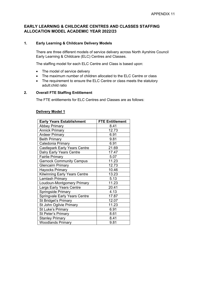#### **EARLY LEARNING & CHILDCARE CENTRES AND CLASSES STAFFING ALLOCATION MODEL ACADEMIC YEAR 2022/23**

#### **1. Early Learning & Childcare Delivery Models**

There are three different models of service delivery across North Ayrshire Council Early Learning & Childcare (ELC) Centres and Classes.

The staffing model for each ELC Centre and Class is based upon:

- The model of service delivery
- The maximum number of children allocated to the ELC Centre or class
- The requirement to ensure the ELC Centre or class meets the statutory adult:child ratio

#### **2. Overall FTE Staffing Entitlement**

The FTE entitlements for ELC Centres and Classes are as follows:

#### **Delivery Model 1**

| <b>Early Years Establishment</b>     | <b>FTE Entitlement</b> |
|--------------------------------------|------------------------|
| <b>Abbey Primary</b>                 | 8.41                   |
| <b>Annick Primary</b>                | 12.73                  |
| <b>Ardeer Primary</b>                | 6.91                   |
| <b>Beith Primary</b>                 | 9.81                   |
| Caledonia Primary                    | 6.91                   |
| <b>Castlepark Early Years Centre</b> | 21.69                  |
| <b>Dalry Early Years Centre</b>      | 17.47                  |
| <b>Fairlie Primary</b>               | 5.07                   |
| <b>Garnock Community Campus</b>      | 11.23                  |
| <b>Glencairn Primary</b>             | 12.73                  |
| <b>Hayocks Primary</b>               | 10.46                  |
| <b>Kilwinning Early Years Centre</b> | 13.23                  |
| Lamlash Primary                      | 5.13                   |
| Loudoun-Montgomery Primary           | 11.23                  |
| Largs Early Years Centre             | 20.41                  |
| Springside Primary                   | 4.13                   |
| <b>Springvale Early Years Centre</b> | 17.87                  |
| <b>St Bridget's Primary</b>          | 12.07                  |
| St John Ogilvie Primary              | 11.23                  |
| St Luke's Primary                    | 6.91                   |
| <b>St Peter's Primary</b>            | 8.61                   |
| <b>Stanley Primary</b>               | 8.41                   |
| <b>Woodlands Primary</b>             | 9.81                   |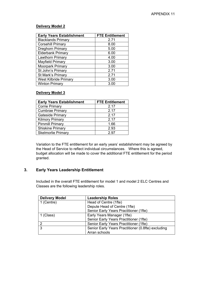#### **Delivery Model 2**

| <b>Early Years Establishment</b> | <b>FTE Entitlement</b> |
|----------------------------------|------------------------|
| <b>Blacklands Primary</b>        | 2.71                   |
| <b>Corsehill Primary</b>         | 8.00                   |
| <b>Dreghorn Primary</b>          | 5.00                   |
| <b>Elderbank Primary</b>         | 6.00                   |
| <b>Lawthorn Primary</b>          | 4.00                   |
| <b>Mayfield Primary</b>          | 3.00                   |
| <b>Moorpark Primary</b>          | 3.00                   |
| St John's Primary                | 2.71                   |
| <b>St Mark's Primary</b>         | 2.71                   |
| <b>West Kilbride Primary</b>     | 3.00                   |
| <b>Winton Primary</b>            | 3.00                   |

#### **Delivery Model 3**

| <b>Early Years Establishment</b> | <b>FTE Entitlement</b> |
|----------------------------------|------------------------|
| <b>Corrie Primary</b>            | 2.17                   |
| <b>Cumbrae Primary</b>           | 2.17                   |
| <b>Gateside Primary</b>          | 2.17                   |
| <b>Kilmory Primary</b>           | 2.17                   |
| <b>Pirnmill Primary</b>          | 1.66                   |
| <b>Shiskine Primary</b>          | 2.93                   |
| <b>Skelmorlie Primary</b>        | 2 Q7                   |

Variation to the FTE entitlement for an early years' establishment may be agreed by the Head of Service to reflect individual circumstances. Where this is agreed, budget allocation will be made to cover the additional FTE entitlement for the period granted.

### **3. Early Years Leadership Entitlement**

Included in the overall FTE entitlement for model 1 and model 2 ELC Centres and Classes are the following leadership roles.

| <b>Delivery Model</b> | <b>Leadership Roles</b>                            |
|-----------------------|----------------------------------------------------|
| 1 (Centre)            | Head of Centre (1fte)                              |
|                       | Depute Head of Centre (1fte)                       |
|                       | Senior Early Years Practitioner (1fte)             |
| 1 (Class)             | Early Years Manager (1fte)                         |
|                       | Senior Early Years Practitioner (1fte)             |
| 2                     | Senior Early Years Practitioner (1fte)             |
| 3                     | Senior Early Years Practitioner (0.8fte) excluding |
|                       | Arran schools                                      |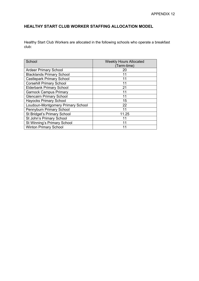# **HEALTHY START CLUB WORKER STAFFING ALLOCATION MODEL**

Healthy Start Club Workers are allocated in the following schools who operate a breakfast club:

| School                             | <b>Weekly Hours Allocated</b><br>(Term-time) |
|------------------------------------|----------------------------------------------|
| <b>Ardeer Primary School</b>       | 20                                           |
| <b>Blacklands Primary School</b>   | 11                                           |
| <b>Castlepark Primary School</b>   | 11                                           |
| <b>Corsehill Primary School</b>    | 11                                           |
| <b>Elderbank Primary School</b>    | 21                                           |
| <b>Garnock Campus Primary</b>      | 11                                           |
| <b>Glencairn Primary School</b>    | 11                                           |
| <b>Hayocks Primary School</b>      | 15                                           |
| Loudoun-Montgomery Primary School  | 22                                           |
| Pennyburn Primary School           | 11                                           |
| <b>St Bridget's Primary School</b> | 11.25                                        |
| St John's Primary School           | 11                                           |
| St Winning's Primary School        | 11                                           |
| <b>Winton Primary School</b>       |                                              |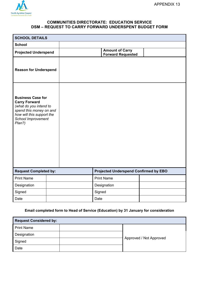

#### **COMMUNITIES DIRECTORATE: EDUCATION SERVICE DSM – REQUEST TO CARRY FORWARD UNDERSPENT BUDGET FORM**

| <b>SCHOOL DETAILS</b>                                                                                                                                              |  |                                                    |  |
|--------------------------------------------------------------------------------------------------------------------------------------------------------------------|--|----------------------------------------------------|--|
| <b>School</b>                                                                                                                                                      |  |                                                    |  |
| <b>Projected Underspend</b>                                                                                                                                        |  | <b>Amount of Carry</b><br><b>Forward Requested</b> |  |
| <b>Reason for Underspend</b>                                                                                                                                       |  |                                                    |  |
| <b>Business Case for</b><br><b>Carry Forward</b><br>(what do you intend to<br>spend this money on and<br>how will this support the<br>School Improvement<br>Plan?) |  |                                                    |  |
| <b>Request Completed by:</b>                                                                                                                                       |  | <b>Projected Underspend Confirmed by EBO</b>       |  |
| <b>Print Name</b>                                                                                                                                                  |  | <b>Print Name</b>                                  |  |
| Designation                                                                                                                                                        |  | Designation                                        |  |
| Signed                                                                                                                                                             |  | Signed                                             |  |
| Date                                                                                                                                                               |  | Date                                               |  |

#### **Email completed form to Head of Service (Education) by 31 January for consideration**

| <b>Request Considered by:</b> |  |                         |  |  |  |  |  |
|-------------------------------|--|-------------------------|--|--|--|--|--|
| <b>Print Name</b>             |  |                         |  |  |  |  |  |
| Designation                   |  |                         |  |  |  |  |  |
| Signed                        |  | Approved / Not Approved |  |  |  |  |  |
| Date                          |  |                         |  |  |  |  |  |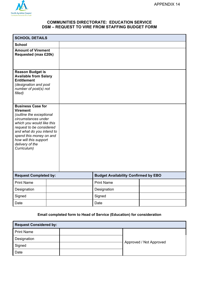

#### **COMMUNITIES DIRECTORATE: EDUCATION SERVICE DSM – REQUEST TO VIRE FROM STAFFING BUDGET FORM**

| <b>SCHOOL DETAILS</b>                                                                                                                                                                                                                                                      |  |                                             |  |
|----------------------------------------------------------------------------------------------------------------------------------------------------------------------------------------------------------------------------------------------------------------------------|--|---------------------------------------------|--|
| <b>School</b>                                                                                                                                                                                                                                                              |  |                                             |  |
| <b>Amount of Virement</b><br><b>Requested (max £20k)</b>                                                                                                                                                                                                                   |  |                                             |  |
| <b>Reason Budget is</b><br><b>Available from Salary</b><br><b>Entitlement</b><br>(designation and post<br>number of post(s) not<br>filled)                                                                                                                                 |  |                                             |  |
| <b>Business Case for</b><br><b>Virement</b><br>(outline the exceptional<br>circumstances under<br>which you would like this<br>request to be considered<br>and what do you intend to<br>spend this money on and<br>how will this support<br>delivery of the<br>Curriculum) |  |                                             |  |
| <b>Request Completed by:</b>                                                                                                                                                                                                                                               |  | <b>Budget Availability Confirmed by EBO</b> |  |
| <b>Print Name</b>                                                                                                                                                                                                                                                          |  | <b>Print Name</b>                           |  |
| Designation                                                                                                                                                                                                                                                                |  | Designation                                 |  |
| Signed                                                                                                                                                                                                                                                                     |  | Signed                                      |  |
| Date                                                                                                                                                                                                                                                                       |  | Date                                        |  |

#### **Email completed form to Head of Service (Education) for consideration**

| <b>Request Considered by:</b> |  |                         |  |  |  |  |  |
|-------------------------------|--|-------------------------|--|--|--|--|--|
| <b>Print Name</b>             |  |                         |  |  |  |  |  |
| Designation                   |  |                         |  |  |  |  |  |
| Signed                        |  | Approved / Not Approved |  |  |  |  |  |
| Date                          |  |                         |  |  |  |  |  |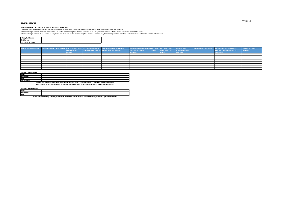

#### **EDUCATION SERVICE**

#### **DSM - ACCESSING THE CENTRAL HQ COVER BUDGET CLAIM FORM**

1. Please complete this form to access the HQ cover budget to cover additional costs arising from teacher or local government employee absence 2. In submitting this claim, the Head Teacher/Head of Centre is confirming that absence cover has been arranged in accordance with the provisions set out in the DSM Scheme 3. In submitting this claim, Head Teacher of Early Years Class/Head of Centre is confirming that absence cover has only been arranged where statutory adult:child ratio would be breached due to absence

| School/ELC Centre          |  |
|----------------------------|--|
| <b>Cost Centre</b>         |  |
| <b>Pay Period of Claim</b> |  |

|  | from drop down | Name of Employee on Leave Employee Number Post Number Post Designation (select Reason for Leave (select Name of Employee who Covered or is Employee Number who Covered Date Leave Date Leave Ended Period of Leave<br><b>Example 20 From drop-down options)</b> Covering Leave (if continuing) | or is Covering Leave (if | Started (leave blank if not | <b>Covered if Less than</b> | School/Centre/EBO Comments Journal from HQ to School Budget<br>Approved / Not Approved (for HQ | <b>Education Resources</b><br><b>Comments</b> |
|--|----------------|------------------------------------------------------------------------------------------------------------------------------------------------------------------------------------------------------------------------------------------------------------------------------------------------|--------------------------|-----------------------------|-----------------------------|------------------------------------------------------------------------------------------------|-----------------------------------------------|
|  |                |                                                                                                                                                                                                                                                                                                | continuing)              |                             | <b>Full Period</b>          | completion)                                                                                    |                                               |
|  |                |                                                                                                                                                                                                                                                                                                |                          |                             |                             |                                                                                                |                                               |
|  |                |                                                                                                                                                                                                                                                                                                |                          |                             |                             |                                                                                                |                                               |
|  |                |                                                                                                                                                                                                                                                                                                |                          |                             |                             |                                                                                                |                                               |
|  |                |                                                                                                                                                                                                                                                                                                |                          |                             |                             |                                                                                                |                                               |
|  |                |                                                                                                                                                                                                                                                                                                |                          |                             |                             |                                                                                                |                                               |
|  |                |                                                                                                                                                                                                                                                                                                |                          |                             |                             |                                                                                                |                                               |
|  |                |                                                                                                                                                                                                                                                                                                |                          |                             |                             |                                                                                                |                                               |
|  |                |                                                                                                                                                                                                                                                                                                |                          |                             |                             |                                                                                                |                                               |

| <b>Request Completed By:</b> |                                                                                                                       |
|------------------------------|-----------------------------------------------------------------------------------------------------------------------|
| Name                         |                                                                                                                       |
| Designation                  |                                                                                                                       |
| Date                         |                                                                                                                       |
| <b>EBO</b> for School        |                                                                                                                       |
|                              | Dieses submit to Education Funding Co-endinates (Islamicson Quanth ovabing couvely) for Drimons and Coopedans Costone |

| <b>Request Considered By:</b> |  |
|-------------------------------|--|
| Name                          |  |
| Designation                   |  |
| Date                          |  |

**Please forward to Cheryl McLean (Finance Asst) at chmclean@north-ayrshire.gov.uk to arrange journal for approved cover costs**

**Please submit to Education Funding Co-ordinator (leethomson@north-ayrshire.gov.uk) for Early Years and ASN Sectors Please submit to Education Funding Co-ordinator (kjamieson@north-ayshire.gov.uk) for Primary and Secondary Sectors**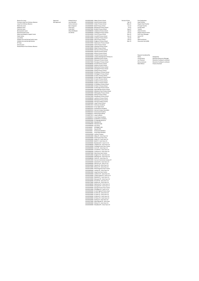Reason for Leave **Approved** Approved Kimberly Bruce 101030010000 Abbey Primary School Period of Claim Post Designation Foreseen Long Term Sickness Absence **Not Approved** Lynn Murdoch 101030020000 Annick Primary School Apr-22 Head Teacher Long Term Sickness Absence Carlyn Jamieson 101030030000 Ardeer Primary School May-22 Depute Head Teacher

> Mayfield Primary School Carole Devoy Education Resources Manager 101030260000 Moorpark Primary School **Lee Thomson** Lee Thomson Education Funding Co-ordinator 101030270000 Pennyburn Primary School **National Community Community** Kenny Jamieson Education Funding Co-ordinator

Maternity Leave **Barry Ferguson** Barry Ferguson **101030040000** Beith Primary School Jun-22 Principal Teacher Adoption Leave **Fiona Gray** Fiona Gray **101030050000** Blacklands Primary School Jul-22 Faculty Head Paternity Leave **Cindy Weir** Cindy Weir 101030070000 Brodick Primary School **Aug-22** Aug-22 Teacher Bereavement Leave **Alison McMaster** Alison McMaster 101030080000 Caledonia Primary School Sep-22 Head of Centre Shared Parental Leave **Shared Parental Leave Act Act and School** Jim Shirkie Manus Jim Shirkie 101030090000 Castlepark Primary School Oct-22 Depute Head of Centre Maternity/Adoption Support Leave **101030100000** Corrie Primary School Nov-22 Early Years Manager Public Duties **Example 2012** Senior EXP Senior EXP 301030110000 Corsehill Primary School Dec-22 Senior EXP Jury Duties 101030120000 Cumbrae Primary School Jan-23 EYP Holidays Accrued during Family Leave **101030130000 Dalry Primary School** 101030130000 Dalry Primary School Feb-23 ASN Practitioner Holidays Accrued during Sickness 101030140000 Dreghorn Primary School Mar-23 Classroom Asst (ASN) KIT Days 101030150000 Dykesmains Primary School Annual Leave 101030160000 Fairlie Primary School Phased Return from Sickness Absence 101030170000 Gateside Primary School Glebe Primary School Glencairn Primary School Hayocks Primary School Kilmory Primary School 101030230000 Lamlash Primary School **Construction Construction** Request Considered By 101030240000 Loudoun Montgomerie Primary Sc Name Name Name Designation 101030280000 Pirnmill Primary School **Mark Wilson** Mark Wilson Finance Assistant Shiskine Primary School Skelmorlie Primary School Springside Primary School Stanley Primary School St Anthony's Primary School St Bridget's Primary School St John's Primary School St John Ogilvie Primary School St Luke's Primary School St Mark's Primary School St Mary's Primary School St Palladius Primary School St Peter's Primary School St Winnings Primary School West Kilbride Primary School Whitehirst Park Primary School Whiting Bay Primary School Winton Primary School Woodlands Primary School Lawthorn Primary School Elderbank Primary School Garnock Campus Primary Largs Primary School Ardrossan Academy Arran High School Auchenharvie Academy Garnock Campus Secondary Greenwood Academy Kilwinning Academy Largs Academy Irvine Royal Academy St Matthew's Academy EY language Resource Elderbank HI Elderbank ASN Astra Base St Bridget's ERS Hayocks ERS Greenwood SSR Base Irvine Royal SSR Base Lockhart Campus Abbey PS - Early Years Ctr Annick Early Years Class Ardeer PS - Early Years Ctr Beith PS - Early Years Ctr Blacklands PS - Early Yrs Ctr Caledonia PS - Early Years Ctr Castlepark Early Years Centre Corrie PS - Early Years Ctr Corsehill PS - Early Years Ctr Cumbrae PS - Early Years Ctr Dalry Early Years Centre Dreghorn PS - Early Years Ctr Elderbank PS - Early Years Ctr Fairlie PS - Early Years Ctr Garnock Community Campus-EY Gateside PS - Early Years Ctr Glencairn PS - Early Yrs Ctr Hayocks PS -Early Years Ctr Kilmory PS - Early Years Ctr Kilwinning Early Years Centre Lamlash PS - Early Years Ctr Largs Early Years Centre Lawthorn PS - Early Years Ctr Loudoun Mont PS - Early Yrs Ct Mayfield PS - Early Years Ctr Moorpark PS - Early Years Ctr Pirnmill PS - Early Years Ctr Shiskine PS - Early Years Ctr Skelmorlie PS - Early Years Ct Springside PS - Early Years Ct Springvale Early Years Centre St Bridgets PS - Early Yrs Ctr St John Ogilvie PS Early Years St Johns PS - Early Years Ctr St Lukes PS - Early Years Ctr St Marks PS - Early Years Ctr St Peters PS - Early Years Ctr Stanley PS - Early Years Ctr West Kilbride PS - Early Years Winton PS - Early Years Ctr Woodland PS - Early Years Ctr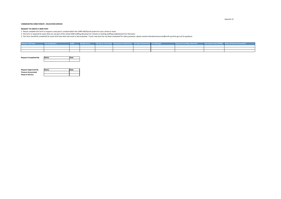Appendix 16

#### **COMMUNITIES DIRECTORATE : EDUCATION SERVICE**

#### **REQUEST TO CREATE A NEW POST**

1. Please complete this form to request a new post is created within the CHRIS HR/Payroll system for your school or team

2. This form is required for posts that are not part of the school DSM staffing allocation for schools or existing staffing establishment for HQ teams

3. This form should be completed for posts that have been job-sized or job evaluated. If your new post has not been evaluated for salary purposes, please contact educationresources@north-ayrshire.gov.uk for guidance

| <b>School or HQ Team</b> | <b>Post Designation</b> |  | Weekly Hours   Full Year or Term-time   Permanent or Fixed-Term   End date if Fixed Term   Line Manager |  | <b>Reason for Creating New Post</b> | Cost Centre Code (CHRIS) Name of Finance Accountant |
|--------------------------|-------------------------|--|---------------------------------------------------------------------------------------------------------|--|-------------------------------------|-----------------------------------------------------|
|                          |                         |  |                                                                                                         |  |                                     |                                                     |
|                          |                         |  |                                                                                                         |  |                                     |                                                     |
|                          |                         |  |                                                                                                         |  |                                     |                                                     |

| <b>Request Completed By</b> | Name | <b>Date</b> |
|-----------------------------|------|-------------|
|                             |      |             |

| <b>Request Approved By</b> | <b>Name</b> | <b>IDate</b> |
|----------------------------|-------------|--------------|
| <b>Finance Accountant</b>  |             |              |
| <b>Head of Service</b>     |             |              |